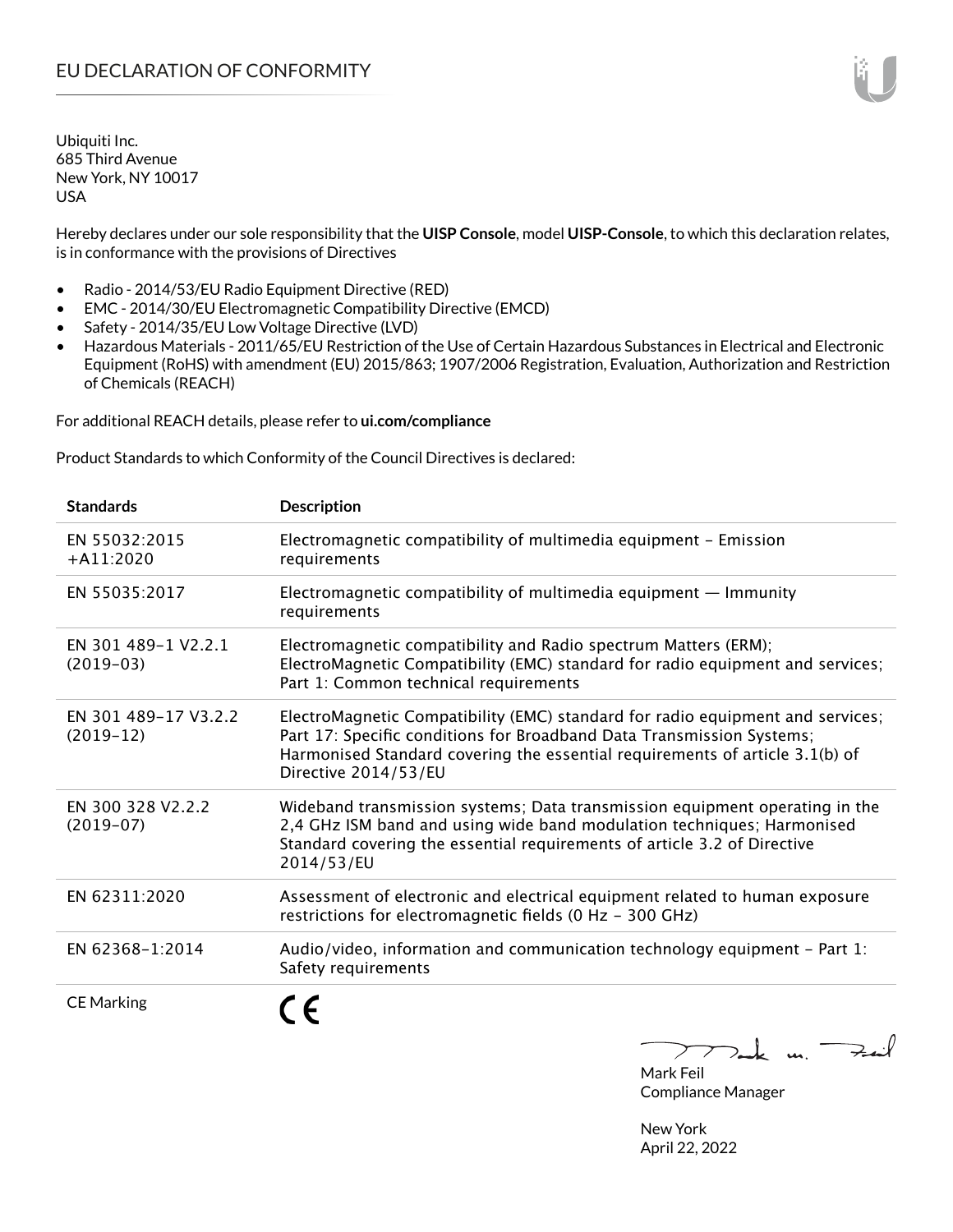Hereby declares under our sole responsibility that the **UISP Console**, model **UISP-Console**, to which this declaration relates, is in conformance with the provisions of Directives

- Radio 2014/53/EU Radio Equipment Directive (RED)
- EMC 2014/30/EU Electromagnetic Compatibility Directive (EMCD)
- Safety 2014/35/EU Low Voltage Directive (LVD)
- Hazardous Materials 2011/65/EU Restriction of the Use of Certain Hazardous Substances in Electrical and Electronic Equipment (RoHS) with amendment (EU) 2015/863; 1907/2006 Registration, Evaluation, Authorization and Restriction of Chemicals (REACH)

For additional REACH details, please refer to **ui.com/compliance**

Product Standards to which Conformity of the Council Directives is declared:

| <b>Standards</b>                    | <b>Description</b>                                                                                                                                                                                                                                              |
|-------------------------------------|-----------------------------------------------------------------------------------------------------------------------------------------------------------------------------------------------------------------------------------------------------------------|
| EN 55032:2015<br>$+A11:2020$        | Electromagnetic compatibility of multimedia equipment - Emission<br>requirements                                                                                                                                                                                |
| EN 55035:2017                       | Electromagnetic compatibility of multimedia equipment $-$ Immunity<br>requirements                                                                                                                                                                              |
| EN 301 489-1 V2.2.1<br>$(2019-03)$  | Electromagnetic compatibility and Radio spectrum Matters (ERM);<br>ElectroMagnetic Compatibility (EMC) standard for radio equipment and services;<br>Part 1: Common technical requirements                                                                      |
| EN 301 489-17 V3.2.2<br>$(2019-12)$ | ElectroMagnetic Compatibility (EMC) standard for radio equipment and services;<br>Part 17: Specific conditions for Broadband Data Transmission Systems;<br>Harmonised Standard covering the essential requirements of article 3.1(b) of<br>Directive 2014/53/EU |
| EN 300 328 V2.2.2<br>$(2019-07)$    | Wideband transmission systems; Data transmission equipment operating in the<br>2,4 GHz ISM band and using wide band modulation techniques; Harmonised<br>Standard covering the essential requirements of article 3.2 of Directive<br>2014/53/EU                 |
| EN 62311:2020                       | Assessment of electronic and electrical equipment related to human exposure<br>restrictions for electromagnetic fields (0 Hz - 300 GHz)                                                                                                                         |
| EN 62368-1:2014                     | Audio/video, information and communication technology equipment - Part 1:<br>Safety requirements                                                                                                                                                                |
| <b>CE Marking</b>                   | $\sqrt{2}$                                                                                                                                                                                                                                                      |

 $>$ Feit  $\sum$  $\overline{\phantom{a}}$ Mark Feil

Compliance Manager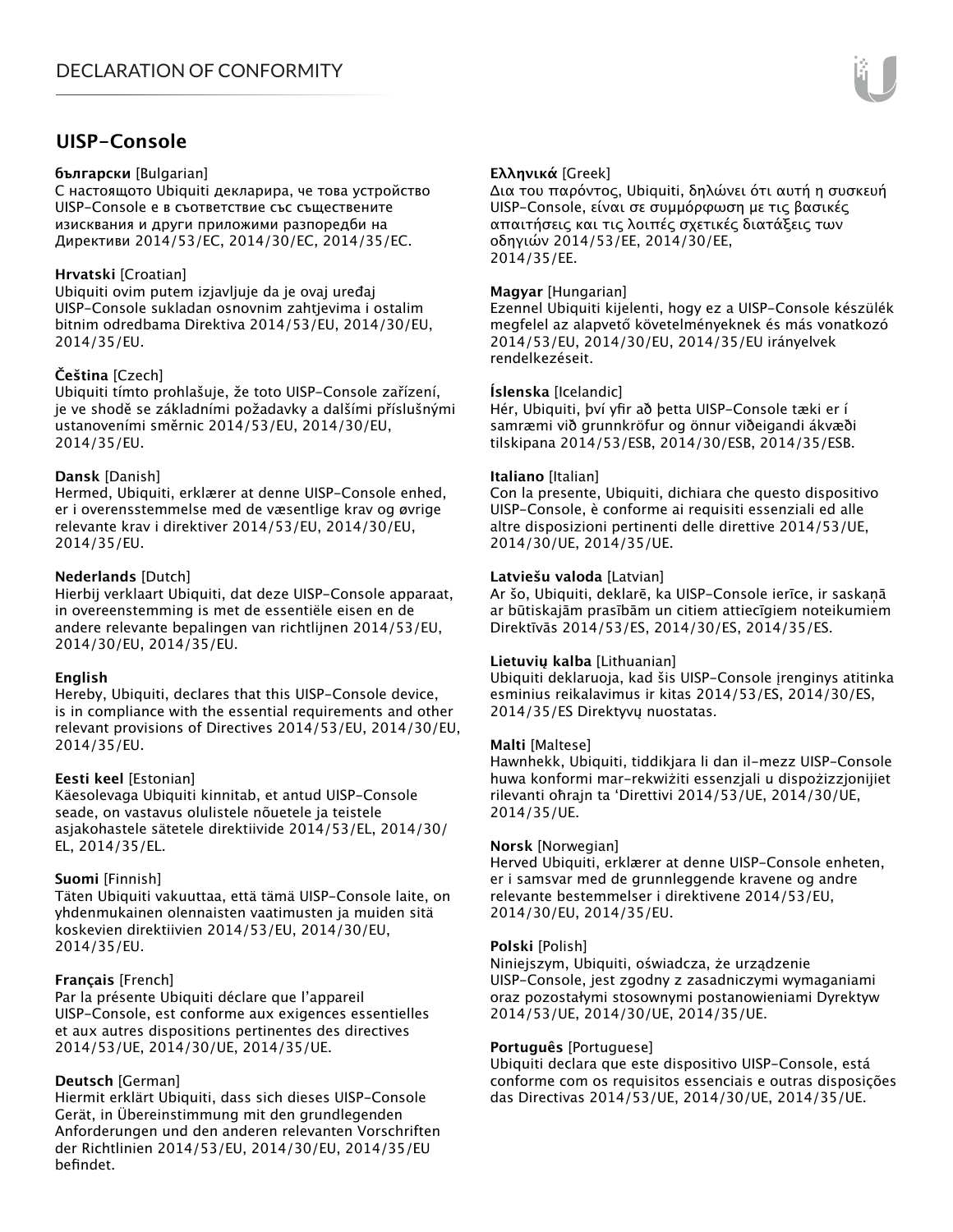# **UISP-Console**

#### **български** [Bulgarian]

С настоящото Ubiquiti декларира, че това устройство UISP-Console е в съответствие със съществените изисквания и други приложими разпоредби на Директиви 2014/53/EC, 2014/30/ЕС, 2014/35/ЕС.

## **Hrvatski** [Croatian]

Ubiquiti ovim putem izjavljuje da je ovaj uređaj UISP-Console sukladan osnovnim zahtjevima i ostalim bitnim odredbama Direktiva 2014/53/EU, 2014/30/EU, 2014/35/EU.

## **Čeština** [Czech]

Ubiquiti tímto prohlašuje, že toto UISP-Console zařízení, je ve shodě se základními požadavky a dalšími příslušnými ustanoveními směrnic 2014/53/EU, 2014/30/EU, 2014/35/EU.

## **Dansk** [Danish]

Hermed, Ubiquiti, erklærer at denne UISP-Console enhed, er i overensstemmelse med de væsentlige krav og øvrige relevante krav i direktiver 2014/53/EU, 2014/30/EU, 2014/35/EU.

## **Nederlands** [Dutch]

Hierbij verklaart Ubiquiti, dat deze UISP-Console apparaat, in overeenstemming is met de essentiële eisen en de andere relevante bepalingen van richtlijnen 2014/53/EU, 2014/30/EU, 2014/35/EU.

## **English**

Hereby, Ubiquiti, declares that this UISP-Console device, is in compliance with the essential requirements and other relevant provisions of Directives 2014/53/EU, 2014/30/EU, 2014/35/EU.

## **Eesti keel** [Estonian]

Käesolevaga Ubiquiti kinnitab, et antud UISP-Console seade, on vastavus olulistele nõuetele ja teistele asjakohastele sätetele direktiivide 2014/53/EL, 2014/30/ EL, 2014/35/EL.

## **Suomi** [Finnish]

Täten Ubiquiti vakuuttaa, että tämä UISP-Console laite, on yhdenmukainen olennaisten vaatimusten ja muiden sitä koskevien direktiivien 2014/53/EU, 2014/30/EU, 2014/35/EU.

# **Français** [French]

Par la présente Ubiquiti déclare que l'appareil UISP-Console, est conforme aux exigences essentielles et aux autres dispositions pertinentes des directives 2014/53/UE, 2014/30/UE, 2014/35/UE.

# **Deutsch** [German]

Hiermit erklärt Ubiquiti, dass sich dieses UISP-Console Gerät, in Übereinstimmung mit den grundlegenden Anforderungen und den anderen relevanten Vorschriften der Richtlinien 2014/53/EU, 2014/30/EU, 2014/35/EU befindet.

# **Ελληνικά** [Greek]

Δια του παρόντος, Ubiquiti, δηλώνει ότι αυτή η συσκευή UISP-Console, είναι σε συμμόρφωση με τις βασικές απαιτήσεις και τις λοιπές σχετικές διατάξεις των οδηγιών 2014/53/EE, 2014/30/EE, 2014/35/EE.

## **Magyar** [Hungarian]

Ezennel Ubiquiti kijelenti, hogy ez a UISP-Console készülék megfelel az alapvető követelményeknek és más vonatkozó 2014/53/EU, 2014/30/EU, 2014/35/EU irányelvek rendelkezéseit.

## **Íslenska** [Icelandic]

Hér, Ubiquiti, því yfir að þetta UISP-Console tæki er í samræmi við grunnkröfur og önnur viðeigandi ákvæði tilskipana 2014/53/ESB, 2014/30/ESB, 2014/35/ESB.

## **Italiano** [Italian]

Con la presente, Ubiquiti, dichiara che questo dispositivo UISP-Console, è conforme ai requisiti essenziali ed alle altre disposizioni pertinenti delle direttive 2014/53/UE, 2014/30/UE, 2014/35/UE.

## **Latviešu valoda** [Latvian]

Ar šo, Ubiquiti, deklarē, ka UISP-Console ierīce, ir saskaņā ar būtiskajām prasībām un citiem attiecīgiem noteikumiem Direktīvās 2014/53/ES, 2014/30/ES, 2014/35/ES.

## **Lietuvių kalba** [Lithuanian]

Ubiquiti deklaruoja, kad šis UISP-Console įrenginys atitinka esminius reikalavimus ir kitas 2014/53/ES, 2014/30/ES, 2014/35/ES Direktyvų nuostatas.

## **Malti** [Maltese]

Hawnhekk, Ubiquiti, tiddikjara li dan il-mezz UISP-Console huwa konformi mar-rekwiżiti essenzjali u dispożizzjonijiet rilevanti oħrajn ta 'Direttivi 2014/53/UE, 2014/30/UE, 2014/35/UE.

## **Norsk** [Norwegian]

Herved Ubiquiti, erklærer at denne UISP-Console enheten, er i samsvar med de grunnleggende kravene og andre relevante bestemmelser i direktivene 2014/53/EU, 2014/30/EU, 2014/35/EU.

#### **Polski** [Polish]

Niniejszym, Ubiquiti, oświadcza, że urządzenie UISP-Console, jest zgodny z zasadniczymi wymaganiami oraz pozostałymi stosownymi postanowieniami Dyrektyw 2014/53/UE, 2014/30/UE, 2014/35/UE.

## **Português** [Portuguese]

Ubiquiti declara que este dispositivo UISP-Console, está conforme com os requisitos essenciais e outras disposições das Directivas 2014/53/UE, 2014/30/UE, 2014/35/UE.

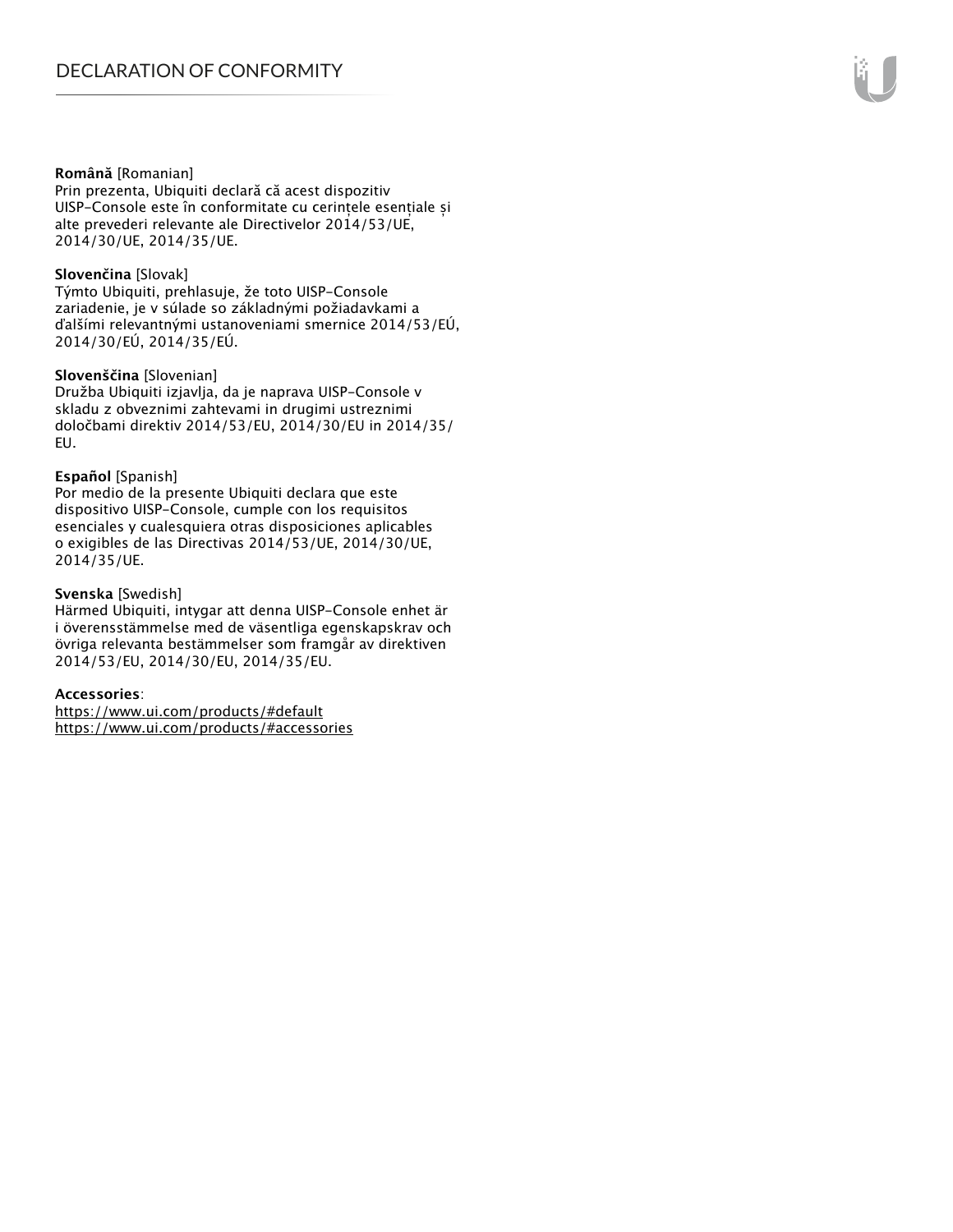#### **Română** [Romanian]

Prin prezenta, Ubiquiti declară că acest dispozitiv UISP-Console este în conformitate cu cerințele esențiale și alte prevederi relevante ale Directivelor 2014/53/UE, 2014/30/UE, 2014/35/UE.

#### **Slovenčina** [Slovak]

Týmto Ubiquiti, prehlasuje, že toto UISP-Console zariadenie, je v súlade so základnými požiadavkami a ďalšími relevantnými ustanoveniami smernice 2014/53/EÚ, 2014/30/EÚ, 2014/35/EÚ.

#### **Slovenščina** [Slovenian]

Družba Ubiquiti izjavlja, da je naprava UISP-Console v skladu z obveznimi zahtevami in drugimi ustreznimi določbami direktiv 2014/53/EU, 2014/30/EU in 2014/35/ EU.

#### **Español** [Spanish]

Por medio de la presente Ubiquiti declara que este dispositivo UISP-Console, cumple con los requisitos esenciales y cualesquiera otras disposiciones aplicables o exigibles de las Directivas 2014/53/UE, 2014/30/UE, 2014/35/UE.

#### **Svenska** [Swedish]

Härmed Ubiquiti, intygar att denna UISP-Console enhet är i överensstämmelse med de väsentliga egenskapskrav och övriga relevanta bestämmelser som framgår av direktiven 2014/53/EU, 2014/30/EU, 2014/35/EU.

#### **Accessories**:

https://www.ui.com/products/#default https://www.ui.com/products/#accessories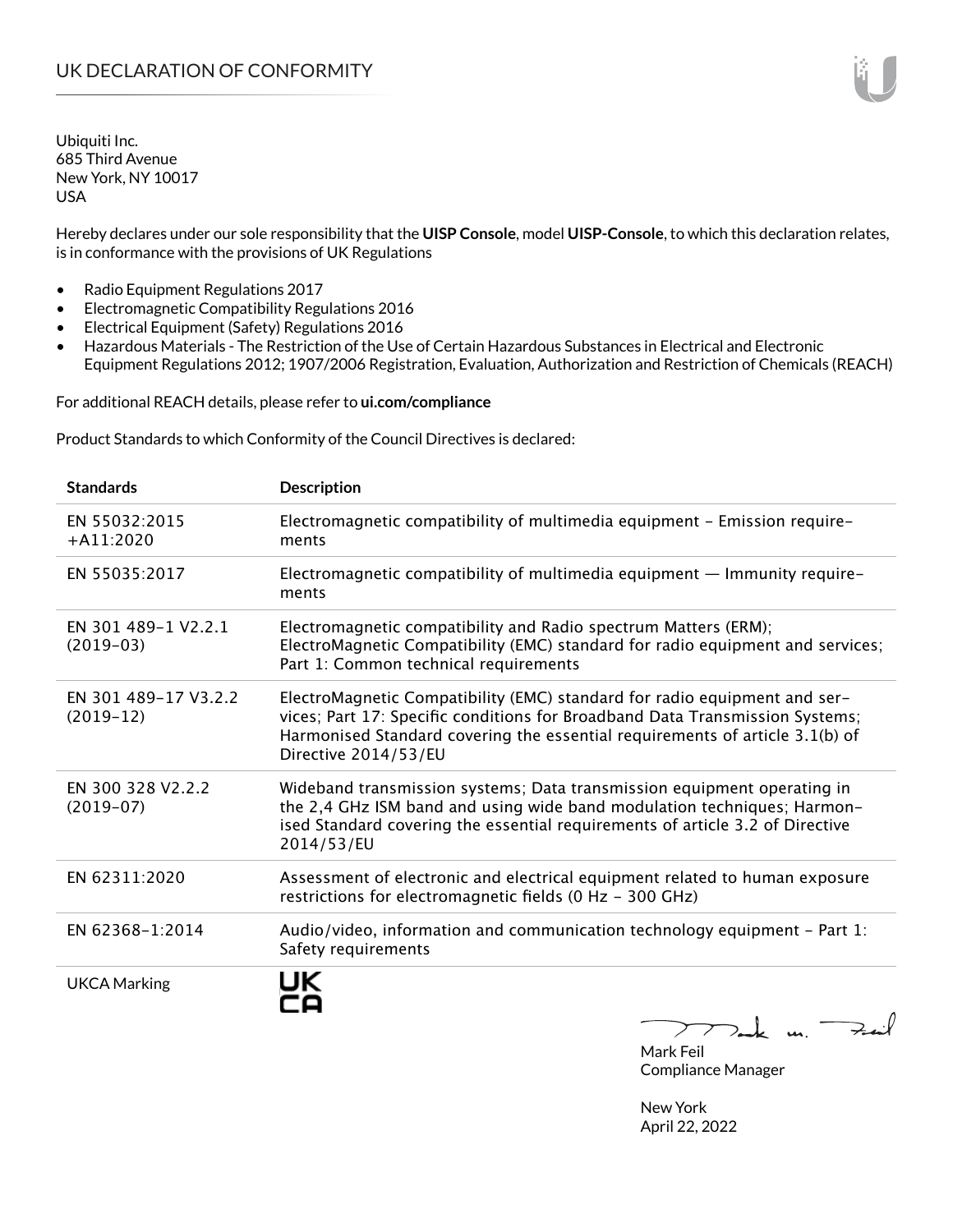Hereby declares under our sole responsibility that the **UISP Console**, model **UISP-Console**, to which this declaration relates, is in conformance with the provisions of UK Regulations

- Radio Equipment Regulations 2017
- Electromagnetic Compatibility Regulations 2016
- Electrical Equipment (Safety) Regulations 2016
- Hazardous Materials The Restriction of the Use of Certain Hazardous Substances in Electrical and Electronic Equipment Regulations 2012; 1907/2006 Registration, Evaluation, Authorization and Restriction of Chemicals (REACH)

For additional REACH details, please refer to **ui.com/compliance**

Product Standards to which Conformity of the Council Directives is declared:

| <b>Standards</b>                    | <b>Description</b>                                                                                                                                                                                                                                                |
|-------------------------------------|-------------------------------------------------------------------------------------------------------------------------------------------------------------------------------------------------------------------------------------------------------------------|
| EN 55032:2015<br>$+$ A11:2020       | Electromagnetic compatibility of multimedia equipment - Emission require-<br>ments                                                                                                                                                                                |
| EN 55035:2017                       | Electromagnetic compatibility of multimedia equipment - Immunity require-<br>ments                                                                                                                                                                                |
| EN 301 489-1 V2.2.1<br>$(2019-03)$  | Electromagnetic compatibility and Radio spectrum Matters (ERM);<br>ElectroMagnetic Compatibility (EMC) standard for radio equipment and services;<br>Part 1: Common technical requirements                                                                        |
| EN 301 489-17 V3.2.2<br>$(2019-12)$ | ElectroMagnetic Compatibility (EMC) standard for radio equipment and ser-<br>vices; Part 17: Specific conditions for Broadband Data Transmission Systems;<br>Harmonised Standard covering the essential requirements of article 3.1(b) of<br>Directive 2014/53/EU |
| EN 300 328 V2.2.2<br>$(2019-07)$    | Wideband transmission systems; Data transmission equipment operating in<br>the 2,4 GHz ISM band and using wide band modulation techniques; Harmon-<br>ised Standard covering the essential requirements of article 3.2 of Directive<br>2014/53/EU                 |
| EN 62311:2020                       | Assessment of electronic and electrical equipment related to human exposure<br>restrictions for electromagnetic fields (0 Hz - 300 GHz)                                                                                                                           |
| EN 62368-1:2014                     | Audio/video, information and communication technology equipment - Part 1:<br>Safety requirements                                                                                                                                                                  |
| <b>UKCA Marking</b>                 |                                                                                                                                                                                                                                                                   |

 $222$  dark us.  $\neq$  in  $\lambda$ 

Mark Feil Compliance Manager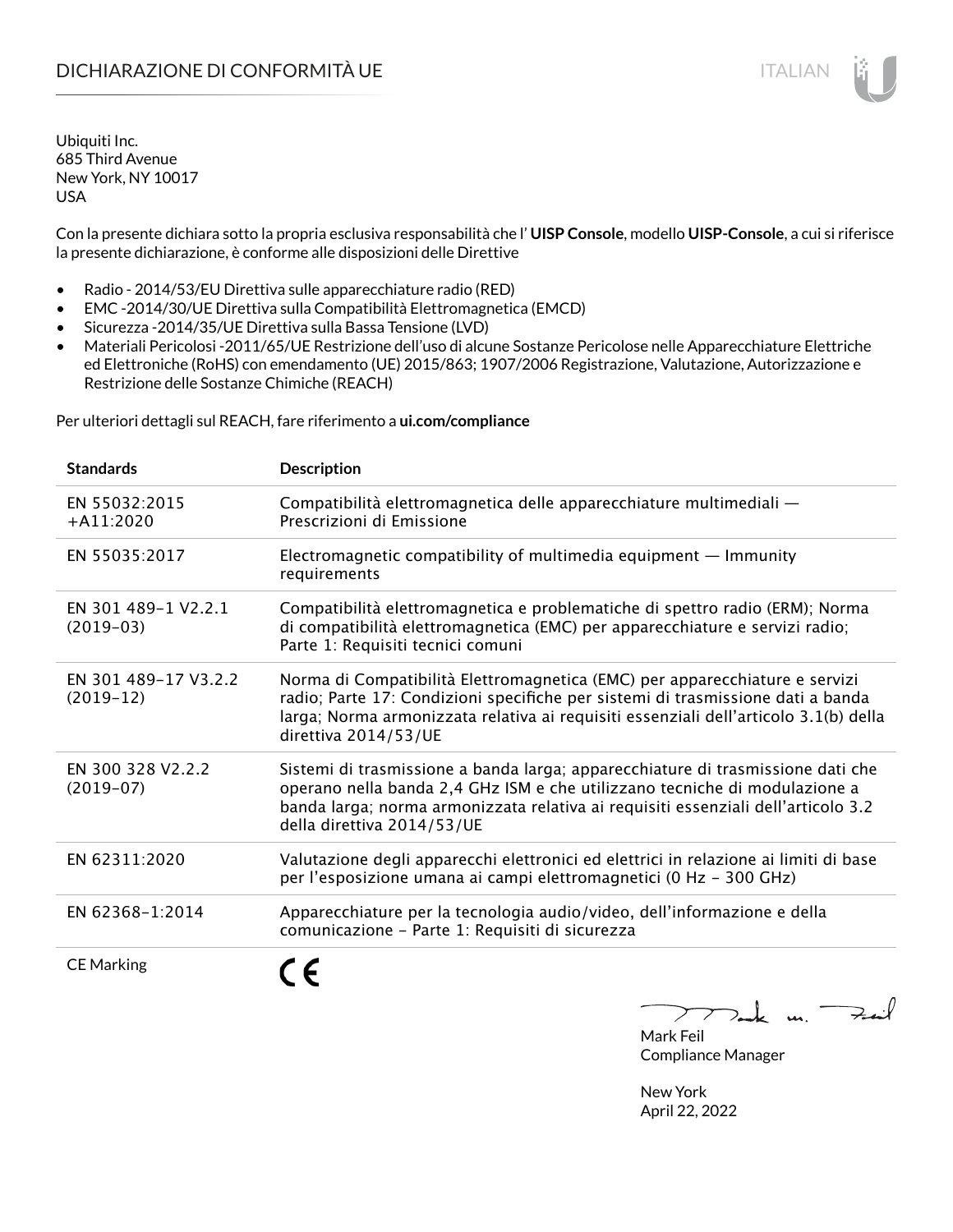Con la presente dichiara sotto la propria esclusiva responsabilità che l' **UISP Console**, modello **UISP-Console**, a cui si riferisce la presente dichiarazione, è conforme alle disposizioni delle Direttive

- Radio 2014/53/EU Direttiva sulle apparecchiature radio (RED)
- EMC -2014/30/UE Direttiva sulla Compatibilità Elettromagnetica (EMCD)
- Sicurezza -2014/35/UE Direttiva sulla Bassa Tensione (LVD)
- Materiali Pericolosi -2011/65/UE Restrizione dell'uso di alcune Sostanze Pericolose nelle Apparecchiature Elettriche ed Elettroniche (RoHS) con emendamento (UE) 2015/863; 1907/2006 Registrazione, Valutazione, Autorizzazione e Restrizione delle Sostanze Chimiche (REACH)

Per ulteriori dettagli sul REACH, fare riferimento a **ui.com/compliance**

| <b>Standards</b>                    | <b>Description</b>                                                                                                                                                                                                                                                               |
|-------------------------------------|----------------------------------------------------------------------------------------------------------------------------------------------------------------------------------------------------------------------------------------------------------------------------------|
| EN 55032:2015<br>$+$ A11:2020       | Compatibilità elettromagnetica delle apparecchiature multimediali —<br>Prescrizioni di Emissione                                                                                                                                                                                 |
| EN 55035:2017                       | Electromagnetic compatibility of multimedia equipment - Immunity<br>requirements                                                                                                                                                                                                 |
| EN 301 489-1 V2.2.1<br>$(2019-03)$  | Compatibilità elettromagnetica e problematiche di spettro radio (ERM); Norma<br>di compatibilità elettromagnetica (EMC) per apparecchiature e servizi radio;<br>Parte 1: Requisiti tecnici comuni                                                                                |
| EN 301 489-17 V3.2.2<br>$(2019-12)$ | Norma di Compatibilità Elettromagnetica (EMC) per apparecchiature e servizi<br>radio; Parte 17: Condizioni specifiche per sistemi di trasmissione dati a banda<br>larga; Norma armonizzata relativa ai requisiti essenziali dell'articolo 3.1(b) della<br>direttiva 2014/53/UE   |
| EN 300 328 V2.2.2<br>$(2019-07)$    | Sistemi di trasmissione a banda larga; apparecchiature di trasmissione dati che<br>operano nella banda 2,4 GHz ISM e che utilizzano tecniche di modulazione a<br>banda larga; norma armonizzata relativa ai requisiti essenziali dell'articolo 3.2<br>della direttiva 2014/53/UE |
| EN 62311:2020                       | Valutazione degli apparecchi elettronici ed elettrici in relazione ai limiti di base<br>per l'esposizione umana ai campi elettromagnetici (0 Hz - 300 GHz)                                                                                                                       |
| EN 62368-1:2014                     | Apparecchiature per la tecnologia audio/video, dell'informazione e della<br>comunicazione - Parte 1: Requisiti di sicurezza                                                                                                                                                      |
| <b>CE Marking</b>                   |                                                                                                                                                                                                                                                                                  |



Mark Feil Compliance Manager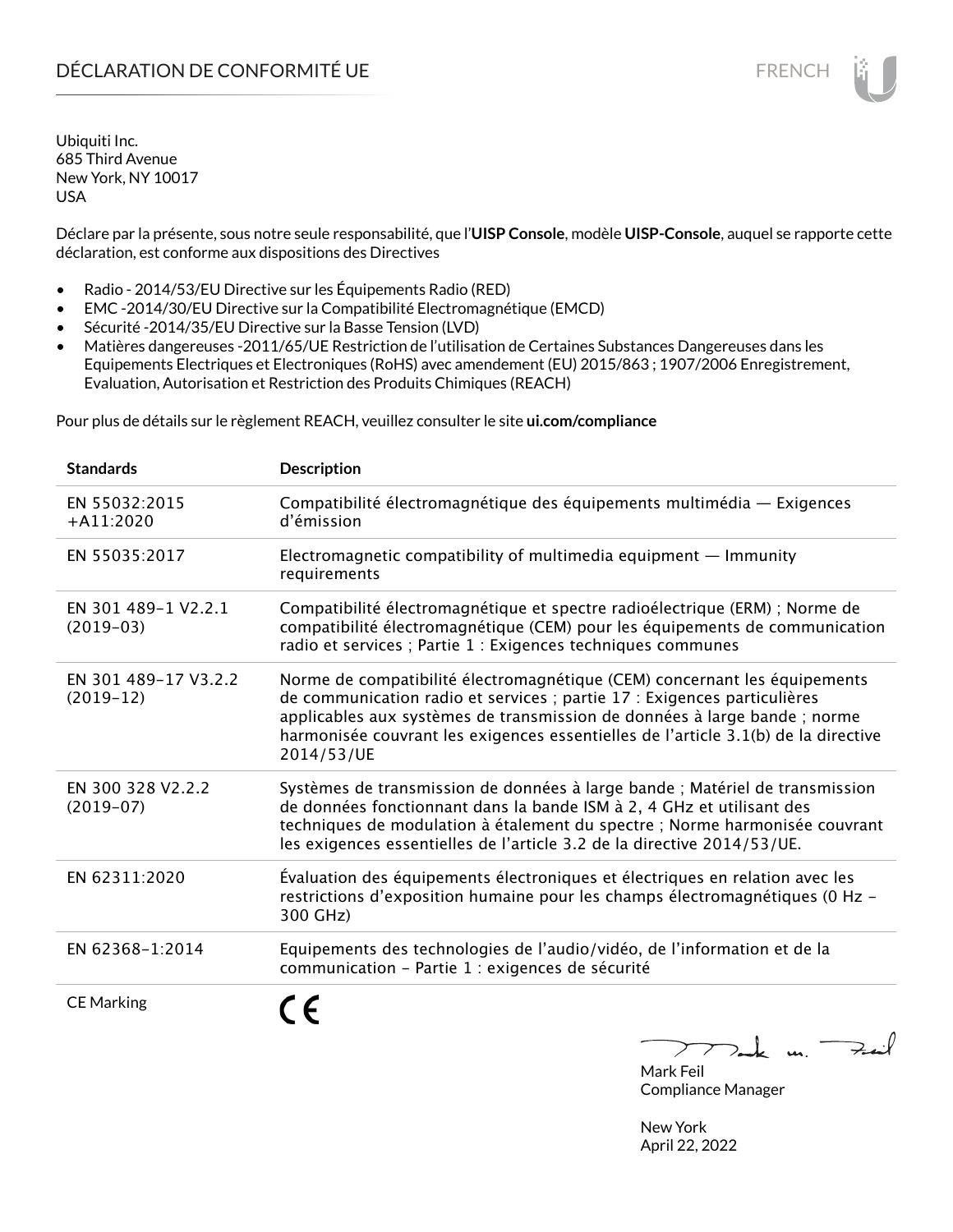Déclare par la présente, sous notre seule responsabilité, que l'**UISP Console**, modèle **UISP-Console**, auquel se rapporte cette déclaration, est conforme aux dispositions des Directives

- Radio 2014/53/EU Directive sur les Équipements Radio (RED)
- EMC -2014/30/EU Directive sur la Compatibilité Electromagnétique (EMCD)
- Sécurité -2014/35/EU Directive sur la Basse Tension (LVD)
- Matières dangereuses -2011/65/UE Restriction de l'utilisation de Certaines Substances Dangereuses dans les Equipements Electriques et Electroniques (RoHS) avec amendement (EU) 2015/863 ; 1907/2006 Enregistrement, Evaluation, Autorisation et Restriction des Produits Chimiques (REACH)

Pour plus de détails sur le règlement REACH, veuillez consulter le site **ui.com/compliance**

| <b>Standards</b>                    | <b>Description</b>                                                                                                                                                                                                                                                                                                                     |
|-------------------------------------|----------------------------------------------------------------------------------------------------------------------------------------------------------------------------------------------------------------------------------------------------------------------------------------------------------------------------------------|
| EN 55032:2015<br>$+A11:2020$        | Compatibilité électromagnétique des équipements multimédia — Exigences<br>d'émission                                                                                                                                                                                                                                                   |
| EN 55035:2017                       | Electromagnetic compatibility of multimedia equipment $-$ Immunity<br>requirements                                                                                                                                                                                                                                                     |
| EN 301 489-1 V2.2.1<br>$(2019-03)$  | Compatibilité électromagnétique et spectre radioélectrique (ERM) ; Norme de<br>compatibilité électromagnétique (CEM) pour les équipements de communication<br>radio et services ; Partie 1 : Exigences techniques communes                                                                                                             |
| EN 301 489-17 V3.2.2<br>$(2019-12)$ | Norme de compatibilité électromagnétique (CEM) concernant les équipements<br>de communication radio et services ; partie 17 : Exigences particulières<br>applicables aux systèmes de transmission de données à large bande ; norme<br>harmonisée couvrant les exigences essentielles de l'article 3.1(b) de la directive<br>2014/53/UE |
| EN 300 328 V2.2.2<br>$(2019-07)$    | Systèmes de transmission de données à large bande ; Matériel de transmission<br>de données fonctionnant dans la bande ISM à 2, 4 GHz et utilisant des<br>techniques de modulation à étalement du spectre ; Norme harmonisée couvrant<br>les exigences essentielles de l'article 3.2 de la directive 2014/53/UE.                        |
| EN 62311:2020                       | Évaluation des équipements électroniques et électriques en relation avec les<br>restrictions d'exposition humaine pour les champs électromagnétiques (0 Hz -<br>300 GHz)                                                                                                                                                               |
| EN 62368-1:2014                     | Equipements des technologies de l'audio/vidéo, de l'information et de la<br>communication - Partie 1 : exigences de sécurité                                                                                                                                                                                                           |
| <b>CE Marking</b>                   | ع ∙<br>$\mathbf{u}$                                                                                                                                                                                                                                                                                                                    |

 $\overline{\phantom{a}}$ ╱  $2 - k$   $\mu$ . Mark Feil

Compliance Manager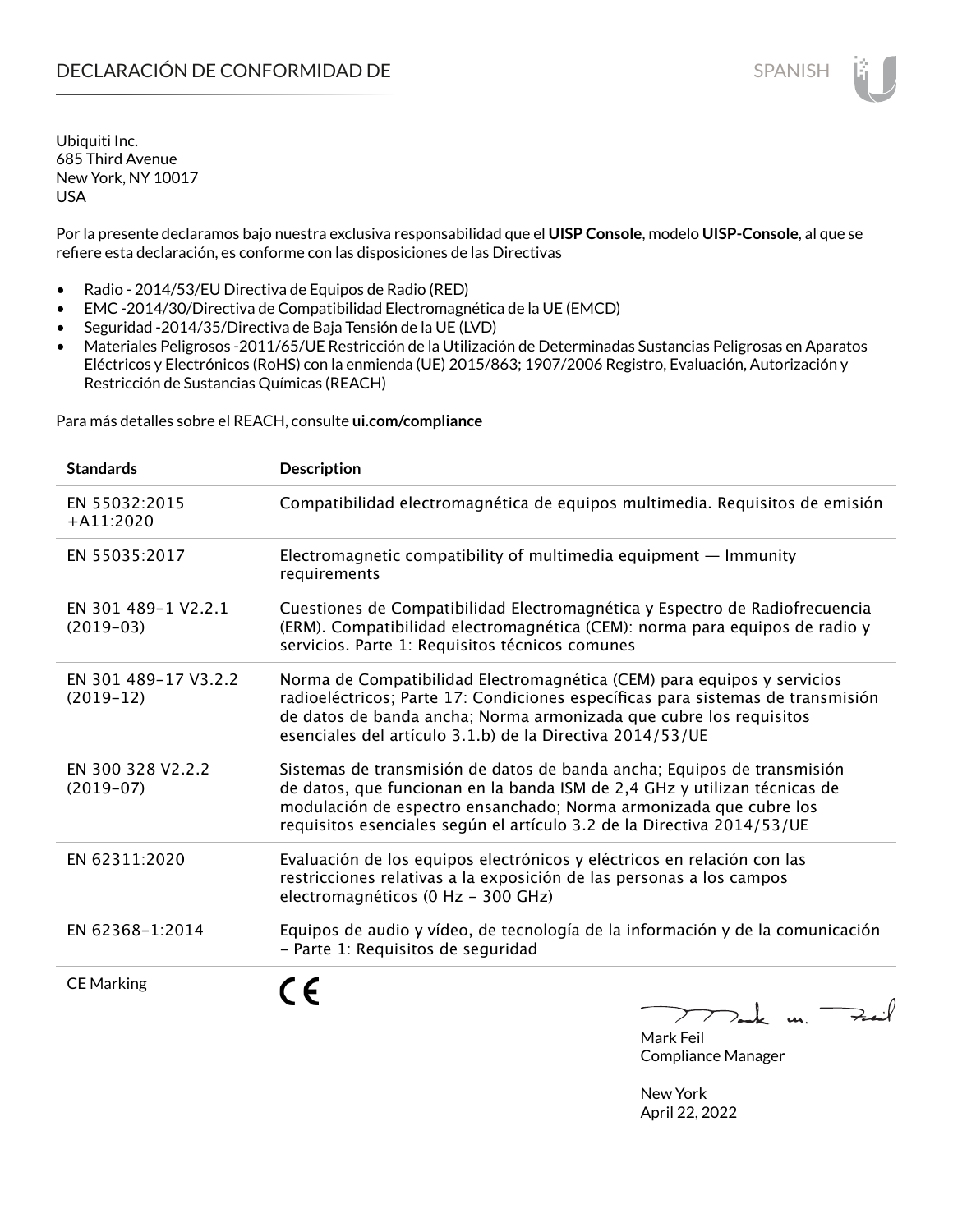Por la presente declaramos bajo nuestra exclusiva responsabilidad que el **UISP Console**, modelo **UISP-Console**, al que se refiere esta declaración, es conforme con las disposiciones de las Directivas

- Radio 2014/53/EU Directiva de Equipos de Radio (RED)
- EMC -2014/30/Directiva de Compatibilidad Electromagnética de la UE (EMCD)
- Seguridad -2014/35/Directiva de Baja Tensión de la UE (LVD)
- Materiales Peligrosos -2011/65/UE Restricción de la Utilización de Determinadas Sustancias Peligrosas en Aparatos Eléctricos y Electrónicos (RoHS) con la enmienda (UE) 2015/863; 1907/2006 Registro, Evaluación, Autorización y Restricción de Sustancias Químicas (REACH)

Para más detalles sobre el REACH, consulte **ui.com/compliance**

| <b>Standards</b>                    | Description                                                                                                                                                                                                                                                                                         |
|-------------------------------------|-----------------------------------------------------------------------------------------------------------------------------------------------------------------------------------------------------------------------------------------------------------------------------------------------------|
| EN 55032:2015<br>$+A11:2020$        | Compatibilidad electromagnética de equipos multimedia. Requisitos de emisión                                                                                                                                                                                                                        |
| EN 55035:2017                       | Electromagnetic compatibility of multimedia equipment $-$ Immunity<br>requirements                                                                                                                                                                                                                  |
| EN 301 489-1 V2.2.1<br>$(2019-03)$  | Cuestiones de Compatibilidad Electromagnética y Espectro de Radiofrecuencia<br>(ERM). Compatibilidad electromagnética (CEM): norma para equipos de radio y<br>servicios. Parte 1: Requisitos técnicos comunes                                                                                       |
| EN 301 489-17 V3.2.2<br>$(2019-12)$ | Norma de Compatibilidad Electromagnética (CEM) para equipos y servicios<br>radioeléctricos; Parte 17: Condiciones específicas para sistemas de transmisión<br>de datos de banda ancha; Norma armonizada que cubre los requisitos<br>esenciales del artículo 3.1.b) de la Directiva 2014/53/UE       |
| EN 300 328 V2.2.2<br>$(2019-07)$    | Sistemas de transmisión de datos de banda ancha; Equipos de transmisión<br>de datos, que funcionan en la banda ISM de 2,4 GHz y utilizan técnicas de<br>modulación de espectro ensanchado; Norma armonizada que cubre los<br>requisitos esenciales según el artículo 3.2 de la Directiva 2014/53/UE |
| EN 62311:2020                       | Evaluación de los equipos electrónicos y eléctricos en relación con las<br>restricciones relativas a la exposición de las personas a los campos<br>electromagnéticos (0 Hz - 300 GHz)                                                                                                               |
| EN 62368-1:2014                     | Equipos de audio y vídeo, de tecnología de la información y de la comunicación<br>- Parte 1: Requisitos de seguridad                                                                                                                                                                                |
| <b>CE Marking</b>                   | ><br>$\mathbf{u}$                                                                                                                                                                                                                                                                                   |

Mark Feil Compliance Manager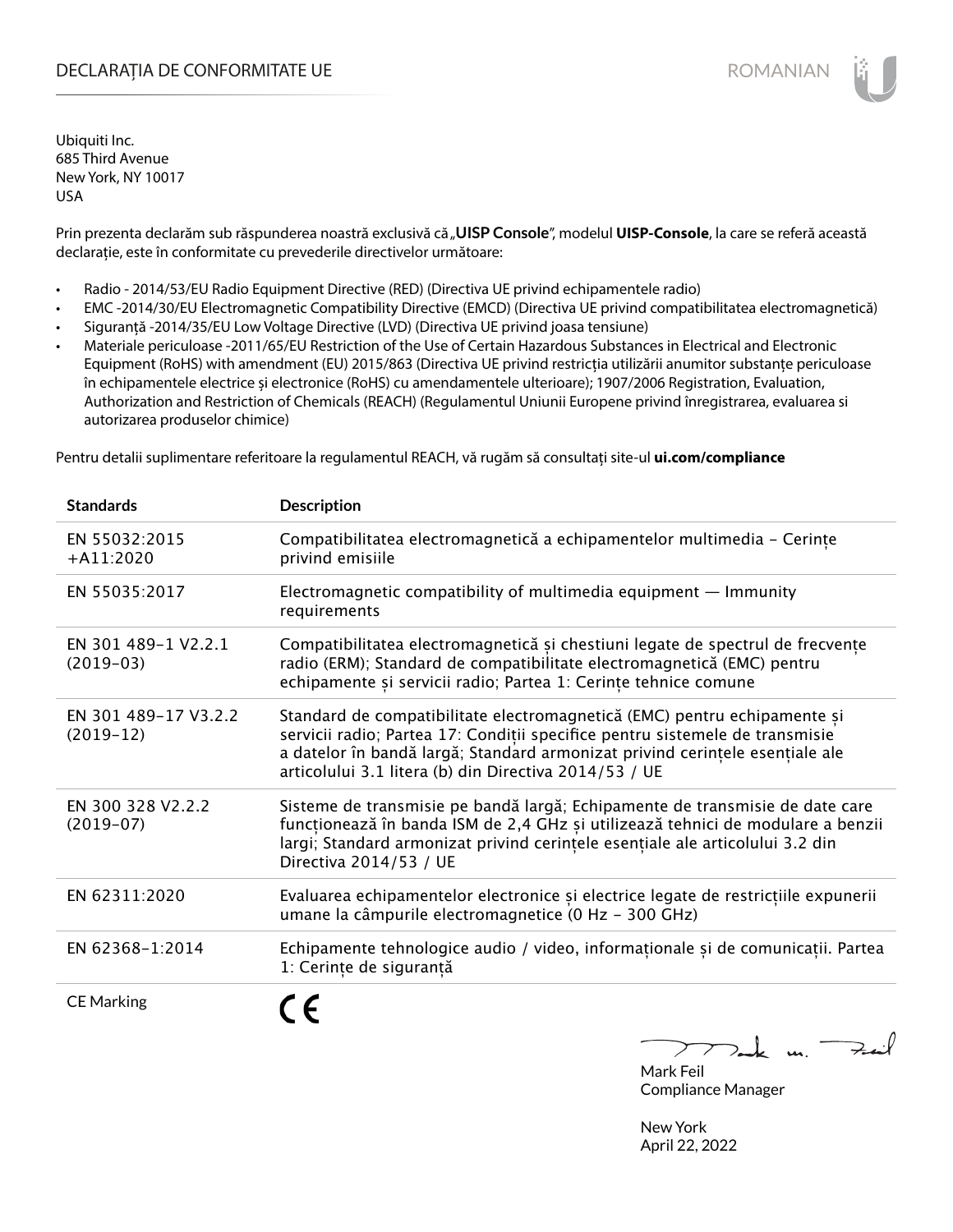# DECLARAȚIA DE CONFORMITATE UE EXECUTE DE ROMANIAN

Ubiquiti Inc. 685 Third Avenue New York, NY 10017 USA

Prin prezenta declarăm sub răspunderea noastră exclusivă că "**UISP Console**", modelul **UISP-Console**, la care se referă această declarație, este în conformitate cu prevederile directivelor următoare:

- Radio 2014/53/EU Radio Equipment Directive (RED) (Directiva UE privind echipamentele radio)
- EMC -2014/30/EU Electromagnetic Compatibility Directive (EMCD) (Directiva UE privind compatibilitatea electromagnetică)
- Siguranță -2014/35/EU Low Voltage Directive (LVD) (Directiva UE privind joasa tensiune)
- Materiale periculoase -2011/65/EU Restriction of the Use of Certain Hazardous Substances in Electrical and Electronic Equipment (RoHS) with amendment (EU) 2015/863 (Directiva UE privind restricția utilizării anumitor substanțe periculoase în echipamentele electrice și electronice (RoHS) cu amendamentele ulterioare); 1907/2006 Registration, Evaluation, Authorization and Restriction of Chemicals (REACH) (Regulamentul Uniunii Europene privind înregistrarea, evaluarea si autorizarea produselor chimice)

Pentru detalii suplimentare referitoare la regulamentul REACH, vă rugăm să consultați site-ul **ui.com/compliance**

| <b>Standards</b>                    | <b>Description</b>                                                                                                                                                                                                                                                                                |
|-------------------------------------|---------------------------------------------------------------------------------------------------------------------------------------------------------------------------------------------------------------------------------------------------------------------------------------------------|
| EN 55032:2015<br>$+A11:2020$        | Compatibilitatea electromagnetică a echipamentelor multimedia - Cerințe<br>privind emisiile                                                                                                                                                                                                       |
| EN 55035:2017                       | Electromagnetic compatibility of multimedia equipment $-$ Immunity<br>requirements                                                                                                                                                                                                                |
| EN 301 489-1 V2.2.1<br>$(2019-03)$  | Compatibilitatea electromagnetică și chestiuni legate de spectrul de frecvențe<br>radio (ERM); Standard de compatibilitate electromagnetică (EMC) pentru<br>echipamente și servicii radio; Partea 1: Cerințe tehnice comune                                                                       |
| EN 301 489-17 V3.2.2<br>$(2019-12)$ | Standard de compatibilitate electromagnetică (EMC) pentru echipamente și<br>servicii radio; Partea 17: Condiții specifice pentru sistemele de transmisie<br>a datelor în bandă largă; Standard armonizat privind cerințele esențiale ale<br>articolului 3.1 litera (b) din Directiva 2014/53 / UE |
| EN 300 328 V2.2.2<br>$(2019-07)$    | Sisteme de transmisie pe bandă largă; Echipamente de transmisie de date care<br>funcționează în banda ISM de 2,4 GHz și utilizează tehnici de modulare a benzii<br>largi; Standard armonizat privind cerintele esentiale ale articolului 3.2 din<br>Directiva 2014/53 / UE                        |
| EN 62311:2020                       | Evaluarea echipamentelor electronice și electrice legate de restricțiile expunerii<br>umane la câmpurile electromagnetice (0 Hz - 300 GHz)                                                                                                                                                        |
| EN 62368-1:2014                     | Echipamente tehnologice audio / video, informaționale și de comunicații. Partea<br>1: Cerințe de siguranță                                                                                                                                                                                        |
| <b>CE Marking</b>                   | $\sqrt{2}$                                                                                                                                                                                                                                                                                        |

 $2$ te un Feil Mark Feil

Compliance Manager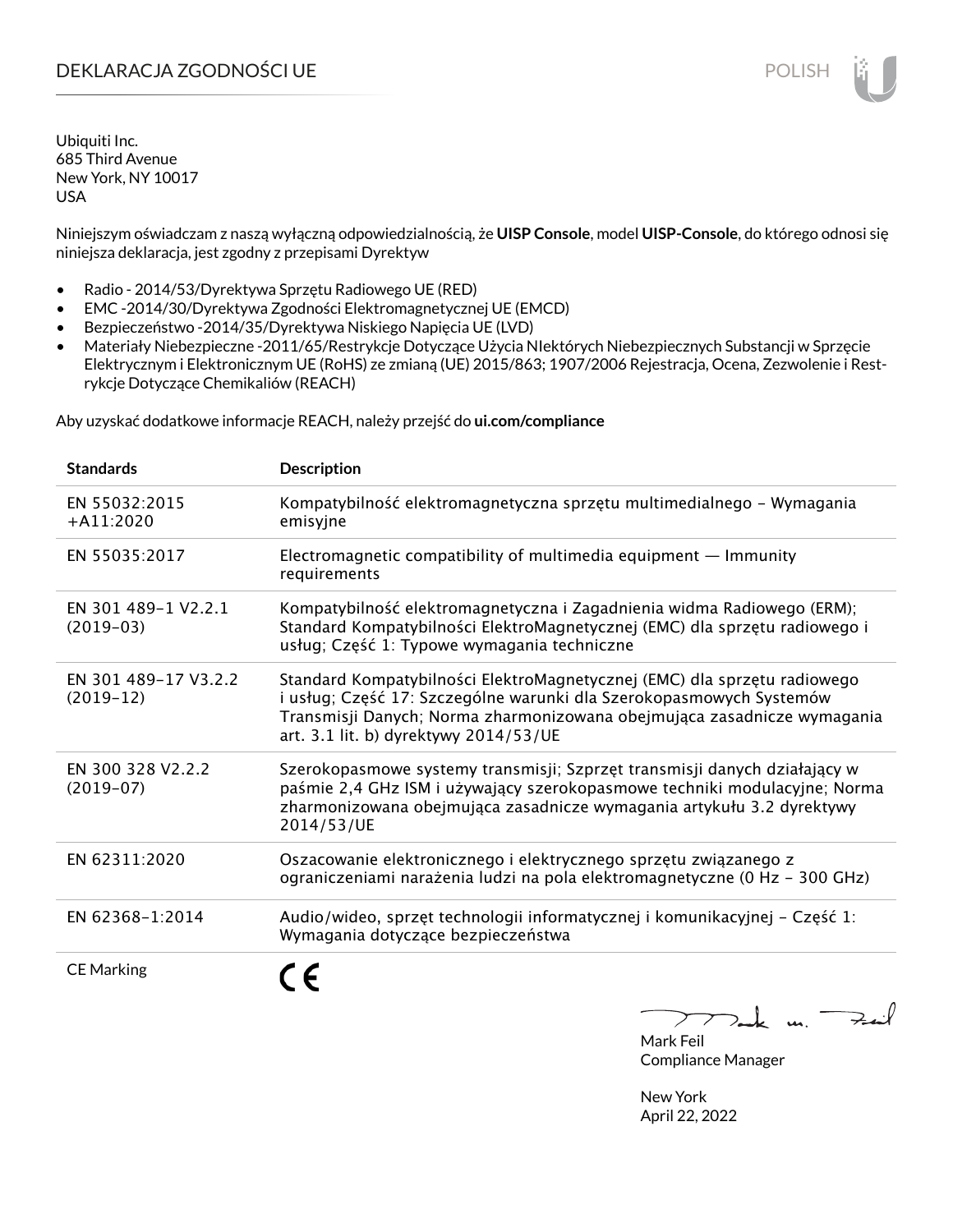# DEKLARACJA ZGODNOŚCI UE POLISH POLISH

Ubiquiti Inc. 685 Third Avenue New York, NY 10017 USA

Niniejszym oświadczam z naszą wyłączną odpowiedzialnością, że **UISP Console**, model **UISP-Console**, do którego odnosi się niniejsza deklaracja, jest zgodny z przepisami Dyrektyw

- Radio 2014/53/Dyrektywa Sprzętu Radiowego UE (RED)
- EMC -2014/30/Dyrektywa Zgodności Elektromagnetycznej UE (EMCD)
- Bezpieczeństwo -2014/35/Dyrektywa Niskiego Napięcia UE (LVD)
- Materiały Niebezpieczne -2011/65/Restrykcje Dotyczące Użycia NIektórych Niebezpiecznych Substancji w Sprzęcie Elektrycznym i Elektronicznym UE (RoHS) ze zmianą (UE) 2015/863; 1907/2006 Rejestracja, Ocena, Zezwolenie i Restrykcje Dotyczące Chemikaliów (REACH)

Aby uzyskać dodatkowe informacje REACH, należy przejść do **ui.com/compliance**

| <b>Standards</b>                    | <b>Description</b>                                                                                                                                                                                                                                                  |
|-------------------------------------|---------------------------------------------------------------------------------------------------------------------------------------------------------------------------------------------------------------------------------------------------------------------|
| EN 55032:2015<br>$+$ A11:2020       | Kompatybilność elektromagnetyczna sprzętu multimedialnego – Wymagania<br>emisyjne                                                                                                                                                                                   |
| EN 55035:2017                       | Electromagnetic compatibility of multimedia equipment $-$ Immunity<br>requirements                                                                                                                                                                                  |
| EN 301 489-1 V2.2.1<br>$(2019-03)$  | Kompatybilność elektromagnetyczna i Zagadnienia widma Radiowego (ERM);<br>Standard Kompatybilności ElektroMagnetycznej (EMC) dla sprzętu radiowego i<br>usług; Część 1: Typowe wymagania techniczne                                                                 |
| EN 301 489-17 V3.2.2<br>$(2019-12)$ | Standard Kompatybilności ElektroMagnetycznej (EMC) dla sprzętu radiowego<br>i usług; Część 17: Szczególne warunki dla Szerokopasmowych Systemów<br>Transmisji Danych; Norma zharmonizowana obejmująca zasadnicze wymagania<br>art. 3.1 lit. b) dyrektywy 2014/53/UE |
| EN 300 328 V2.2.2<br>$(2019-07)$    | Szerokopasmowe systemy transmisji; Szprzęt transmisji danych działający w<br>paśmie 2,4 GHz ISM i używający szerokopasmowe techniki modulacyjne; Norma<br>zharmonizowana obejmująca zasadnicze wymagania artykułu 3.2 dyrektywy<br>2014/53/UE                       |
| EN 62311:2020                       | Oszacowanie elektronicznego i elektrycznego sprzętu związanego z<br>ograniczeniami narażenia ludzi na pola elektromagnetyczne (0 Hz - 300 GHz)                                                                                                                      |
| EN 62368-1:2014                     | Audio/wideo, sprzęt technologii informatycznej i komunikacyjnej - Część 1:<br>Wymagania dotyczące bezpieczeństwa                                                                                                                                                    |
| <b>CE Marking</b>                   |                                                                                                                                                                                                                                                                     |

لأمدح  $\mu$ 

Mark Feil Compliance Manager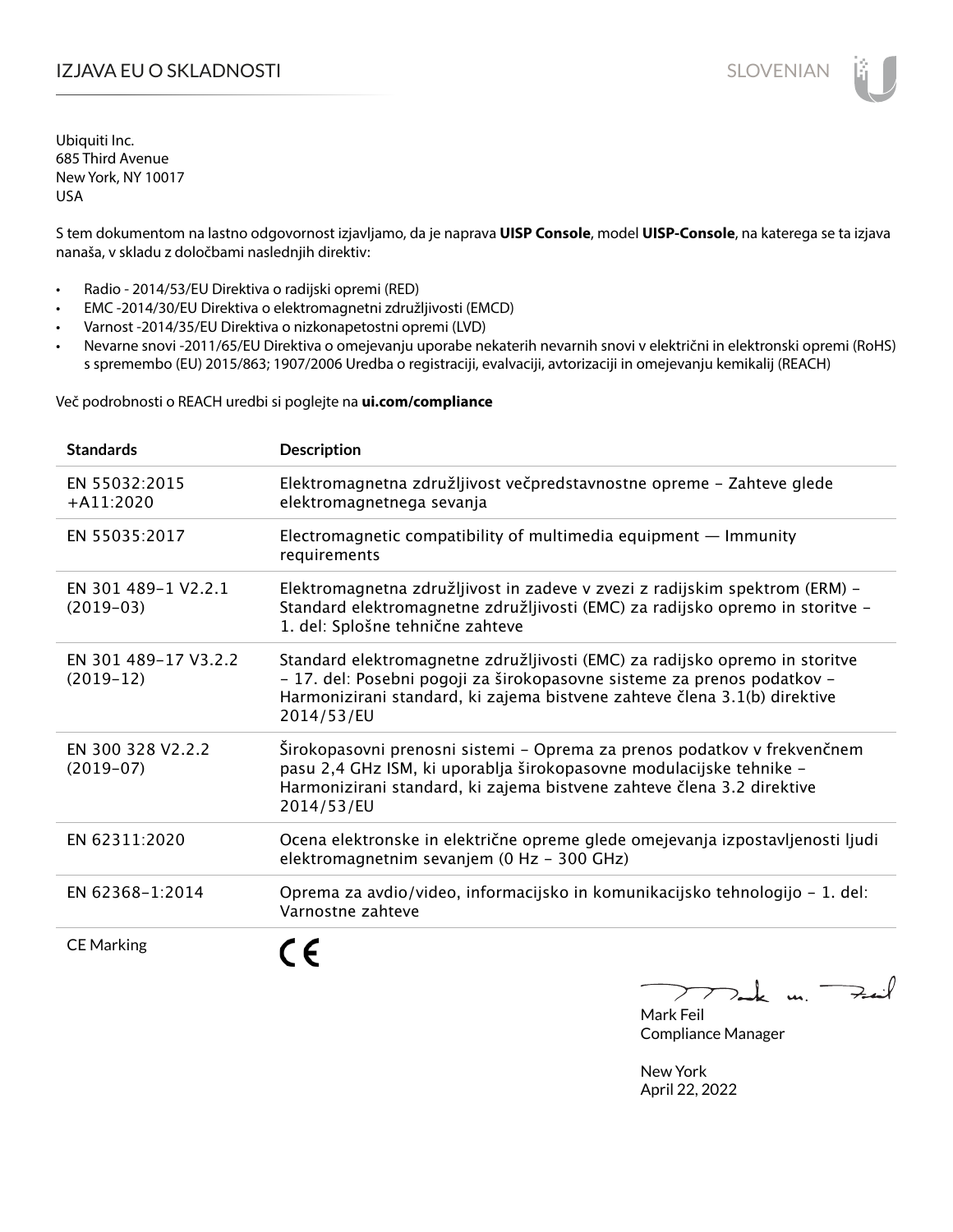# I**ZJAVA EU O SKLADNOSTI** SLOVENIAN

Ubiquiti Inc. 685 Third Avenue New York, NY 10017 USA

S tem dokumentom na lastno odgovornost izjavljamo, da je naprava **UISP Console**, model **UISP-Console**, na katerega se ta izjava nanaša, v skladu z določbami naslednjih direktiv:

- Radio 2014/53/EU Direktiva o radijski opremi (RED)
- EMC -2014/30/EU Direktiva o elektromagnetni združljivosti (EMCD)
- Varnost -2014/35/EU Direktiva o nizkonapetostni opremi (LVD)
- Nevarne snovi -2011/65/EU Direktiva o omejevanju uporabe nekaterih nevarnih snovi v električni in elektronski opremi (RoHS) s spremembo (EU) 2015/863; 1907/2006 Uredba o registraciji, evalvaciji, avtorizaciji in omejevanju kemikalij (REACH)

Več podrobnosti o REACH uredbi si poglejte na **ui.com/compliance**

| <b>Standards</b>                    | <b>Description</b>                                                                                                                                                                                                                                |
|-------------------------------------|---------------------------------------------------------------------------------------------------------------------------------------------------------------------------------------------------------------------------------------------------|
| EN 55032:2015<br>$+$ A11:2020       | Elektromagnetna združljivost večpredstavnostne opreme - Zahteve glede<br>elektromagnetnega sevanja                                                                                                                                                |
| EN 55035:2017                       | Electromagnetic compatibility of multimedia equipment $-$ Immunity<br>requirements                                                                                                                                                                |
| EN 301 489-1 V2.2.1<br>$(2019-03)$  | Elektromagnetna združljivost in zadeve v zvezi z radijskim spektrom (ERM) -<br>Standard elektromagnetne združljivosti (EMC) za radijsko opremo in storitve -<br>1. del: Splošne tehnične zahteve                                                  |
| EN 301 489-17 V3.2.2<br>$(2019-12)$ | Standard elektromagnetne združljivosti (EMC) za radijsko opremo in storitve<br>- 17. del: Posebni pogoji za širokopasovne sisteme za prenos podatkov -<br>Harmonizirani standard, ki zajema bistvene zahteve člena 3.1(b) direktive<br>2014/53/EU |
| EN 300 328 V2.2.2<br>$(2019-07)$    | Širokopasovni prenosni sistemi - Oprema za prenos podatkov v frekvenčnem<br>pasu 2,4 GHz ISM, ki uporablja širokopasovne modulacijske tehnike -<br>Harmonizirani standard, ki zajema bistvene zahteve člena 3.2 direktive<br>2014/53/EU           |
| EN 62311:2020                       | Ocena elektronske in električne opreme glede omejevanja izpostavljenosti ljudi<br>elektromagnetnim sevanjem (0 Hz - 300 GHz)                                                                                                                      |
| EN 62368-1:2014                     | Oprema za avdio/video, informacijsko in komunikacijsko tehnologijo - 1. del:<br>Varnostne zahteve                                                                                                                                                 |
| <b>CE Marking</b>                   |                                                                                                                                                                                                                                                   |

 $k$  un  $\rightarrow$ 

Mark Feil Compliance Manager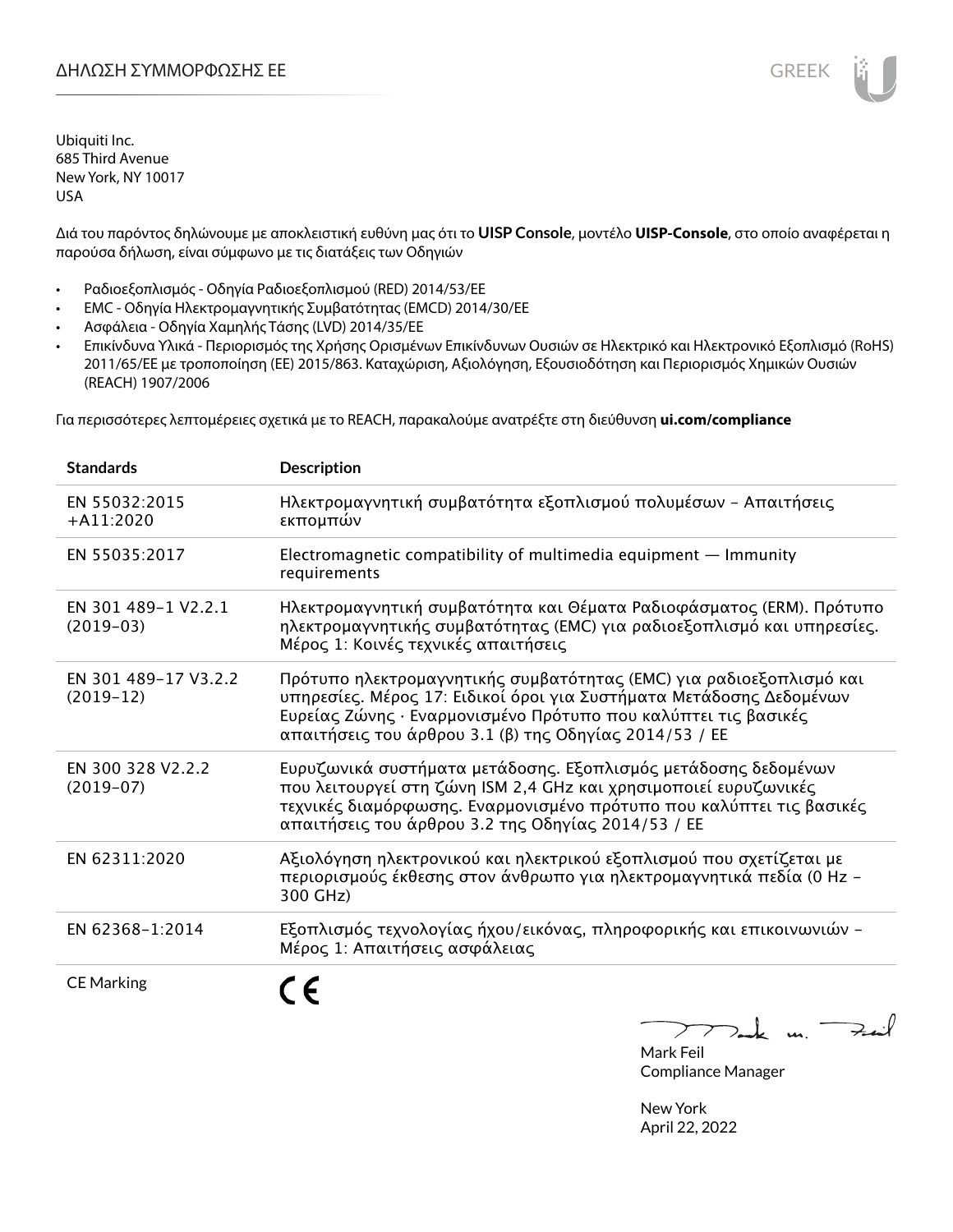Διά του παρόντος δηλώνουμε με αποκλειστική ευθύνη μας ότι το **UISP Console**, μοντέλο **UISP-Console**, στο οποίο αναφέρεται η παρούσα δήλωση, είναι σύμφωνο με τις διατάξεις των Οδηγιών

- Ραδιοεξοπλισμός Οδηγία Ραδιοεξοπλισμού (RED) 2014/53/ΕΕ
- EMC Οδηγία Ηλεκτρομαγνητικής Συμβατότητας (EMCD) 2014/30/ΕΕ
- Ασφάλεια Οδηγία Χαμηλής Τάσης (LVD) 2014/35/ΕΕ
- Επικίνδυνα Υλικά Περιορισμός της Χρήσης Ορισμένων Επικίνδυνων Ουσιών σε Ηλεκτρικό και Ηλεκτρονικό Εξοπλισμό (RoHS) 2011/65/ΕΕ με τροποποίηση (ΕΕ) 2015/863. Καταχώριση, Αξιολόγηση, Εξουσιοδότηση και Περιορισμός Χημικών Ουσιών (REACH) 1907/2006

Για περισσότερες λεπτομέρειες σχετικά με το REACH, παρακαλούμε ανατρέξτε στη διεύθυνση **ui.com/compliance**

| <b>Standards</b>                    | <b>Description</b>                                                                                                                                                                                                                                                     |
|-------------------------------------|------------------------------------------------------------------------------------------------------------------------------------------------------------------------------------------------------------------------------------------------------------------------|
| EN 55032:2015<br>$+A11:2020$        | Ηλεκτρομαγνητική συμβατότητα εξοπλισμού πολυμέσων - Απαιτήσεις<br>εκπομπών                                                                                                                                                                                             |
| EN 55035:2017                       | Electromagnetic compatibility of multimedia equipment - Immunity<br>requirements                                                                                                                                                                                       |
| EN 301 489-1 V2.2.1<br>$(2019-03)$  | Ηλεκτρομαγνητική συμβατότητα και Θέματα Ραδιοφάσματος (ERM). Πρότυπο<br>ηλεκτρομαγνητικής συμβατότητας (ΕΜC) για ραδιοεξοπλισμό και υπηρεσίες.<br>Μέρος 1: Κοινές τεχνικές απαιτήσεις                                                                                  |
| EN 301 489-17 V3.2.2<br>$(2019-12)$ | Πρότυπο ηλεκτρομαγνητικής συμβατότητας (EMC) για ραδιοεξοπλισμό και<br>υπηρεσίες. Μέρος 17: Ειδικοί όροι για Συστήματα Μετάδοσης Δεδομένων<br>Ευρείας Ζώνης · Εναρμονισμένο Πρότυπο που καλύπτει τις βασικές<br>απαιτήσεις του άρθρου 3.1 (β) της Οδηγίας 2014/53 / ΕΕ |
| EN 300 328 V2.2.2<br>$(2019-07)$    | Ευρυζωνικά συστήματα μετάδοσης. Εξοπλισμός μετάδοσης δεδομένων<br>που λειτουργεί στη ζώνη ISM 2,4 GHz και χρησιμοποιεί ευρυζωνικές<br>τεχνικές διαμόρφωσης. Εναρμονισμένο πρότυπο που καλύπτει τις βασικές<br>απαιτήσεις του άρθρου 3.2 της Οδηγίας 2014/53 / ΕΕ       |
| EN 62311:2020                       | Αξιολόγηση ηλεκτρονικού και ηλεκτρικού εξοπλισμού που σχετίζεται με<br>περιορισμούς έκθεσης στον άνθρωπο για ηλεκτρομαγνητικά πεδία (0 Hz -<br>300 GHz)                                                                                                                |
| EN 62368-1:2014                     | Εξοπλισμός τεχνολογίας ήχου/εικόνας, πληροφορικής και επικοινωνιών -<br>Μέρος 1: Απαιτήσεις ασφάλειας                                                                                                                                                                  |
| <b>CE Marking</b>                   |                                                                                                                                                                                                                                                                        |

Tak un Fait  $\sum$ 

Mark Feil Compliance Manager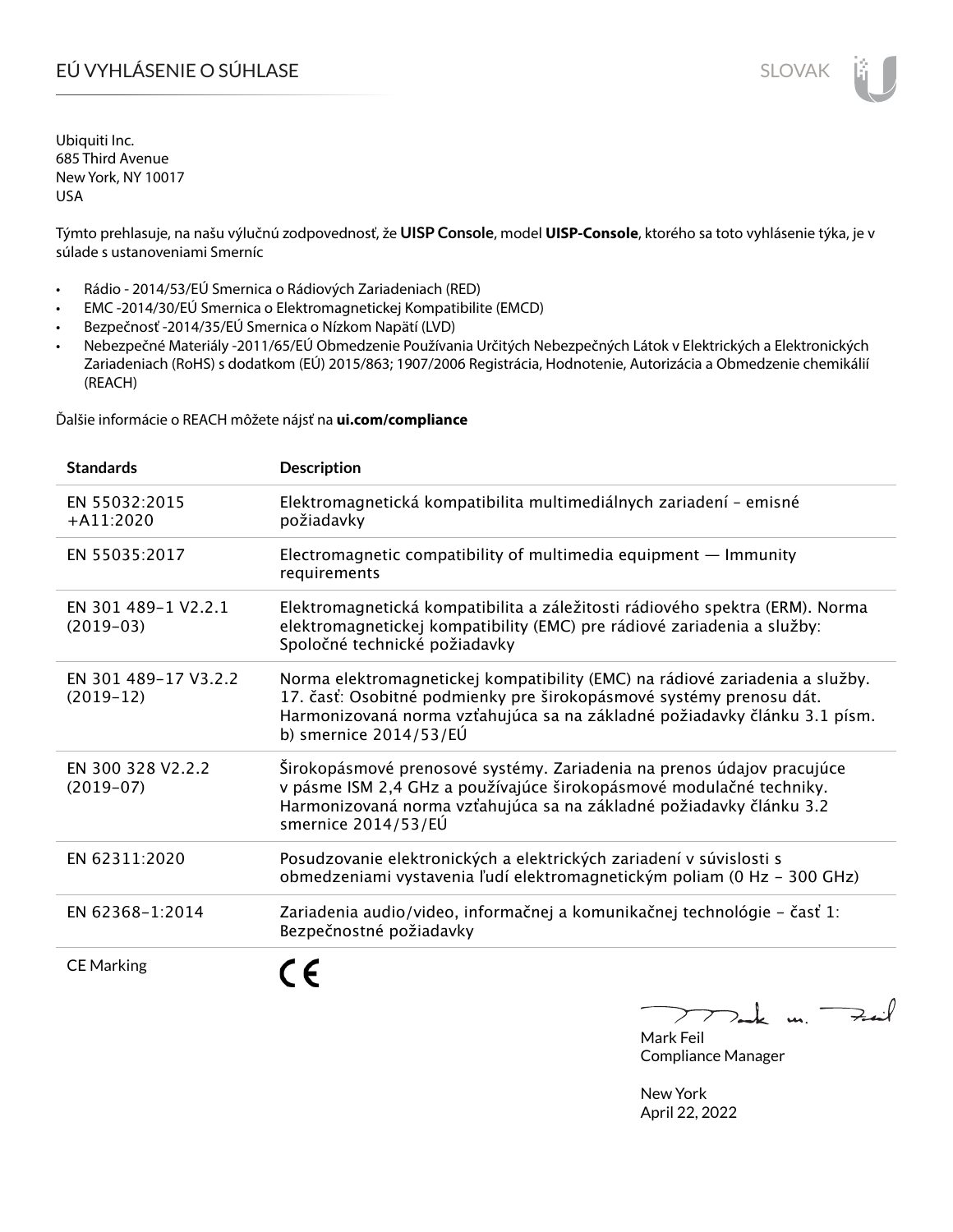# EÚ VYHLÁSENIE O SÚHLASE SLOVAK SLOVAK

Ubiquiti Inc. 685 Third Avenue New York, NY 10017 USA

Týmto prehlasuje, na našu výlučnú zodpovednosť, že **UISP Console**, model **UISP-Console**, ktorého sa toto vyhlásenie týka, je v súlade s ustanoveniami Smerníc

- Rádio 2014/53/EÚ Smernica o Rádiových Zariadeniach (RED)
- EMC -2014/30/EÚ Smernica o Elektromagnetickej Kompatibilite (EMCD)
- Bezpečnosť -2014/35/EÚ Smernica o Nízkom Napätí (LVD)
- Nebezpečné Materiály -2011/65/EÚ Obmedzenie Používania Určitých Nebezpečných Látok v Elektrických a Elektronických Zariadeniach (RoHS) s dodatkom (EÚ) 2015/863; 1907/2006 Registrácia, Hodnotenie, Autorizácia a Obmedzenie chemikálií (REACH)

Ďalšie informácie o REACH môžete nájsť na **ui.com/compliance**

| <b>Standards</b>                    | <b>Description</b>                                                                                                                                                                                                                                         |
|-------------------------------------|------------------------------------------------------------------------------------------------------------------------------------------------------------------------------------------------------------------------------------------------------------|
| EN 55032:2015<br>$+$ A11:2020       | Elektromagnetická kompatibilita multimediálnych zariadení - emisné<br>požiadavky                                                                                                                                                                           |
| EN 55035:2017                       | Electromagnetic compatibility of multimedia equipment $-$ Immunity<br>requirements                                                                                                                                                                         |
| EN 301 489-1 V2.2.1<br>$(2019-03)$  | Elektromagnetická kompatibilita a záležitosti rádiového spektra (ERM). Norma<br>elektromagnetickej kompatibility (EMC) pre rádiové zariadenia a služby:<br>Spoločné technické požiadavky                                                                   |
| EN 301 489-17 V3.2.2<br>$(2019-12)$ | Norma elektromagnetickej kompatibility (EMC) na rádiové zariadenia a služby.<br>17. časť: Osobitné podmienky pre širokopásmové systémy prenosu dát.<br>Harmonizovaná norma vzťahujúca sa na základné požiadavky článku 3.1 písm.<br>b) smernice 2014/53/EÚ |
| EN 300 328 V2.2.2<br>$(2019-07)$    | Širokopásmové prenosové systémy. Zariadenia na prenos údajov pracujúce<br>v pásme ISM 2,4 GHz a používajúce širokopásmové modulačné techniky.<br>Harmonizovaná norma vzťahujúca sa na základné požiadavky článku 3.2<br>smernice 2014/53/EÚ                |
| EN 62311:2020                       | Posudzovanie elektronických a elektrických zariadení v súvislosti s<br>obmedzeniami vystavenia ľudí elektromagnetickým poliam (0 Hz - 300 GHz)                                                                                                             |
| EN 62368-1:2014                     | Zariadenia audio/video, informačnej a komunikačnej technológie – časť 1:<br>Bezpečnostné požiadavky                                                                                                                                                        |
| <b>CE Marking</b>                   |                                                                                                                                                                                                                                                            |

 $k$  un  $\rightarrow$  $\sum$ 

Mark Feil Compliance Manager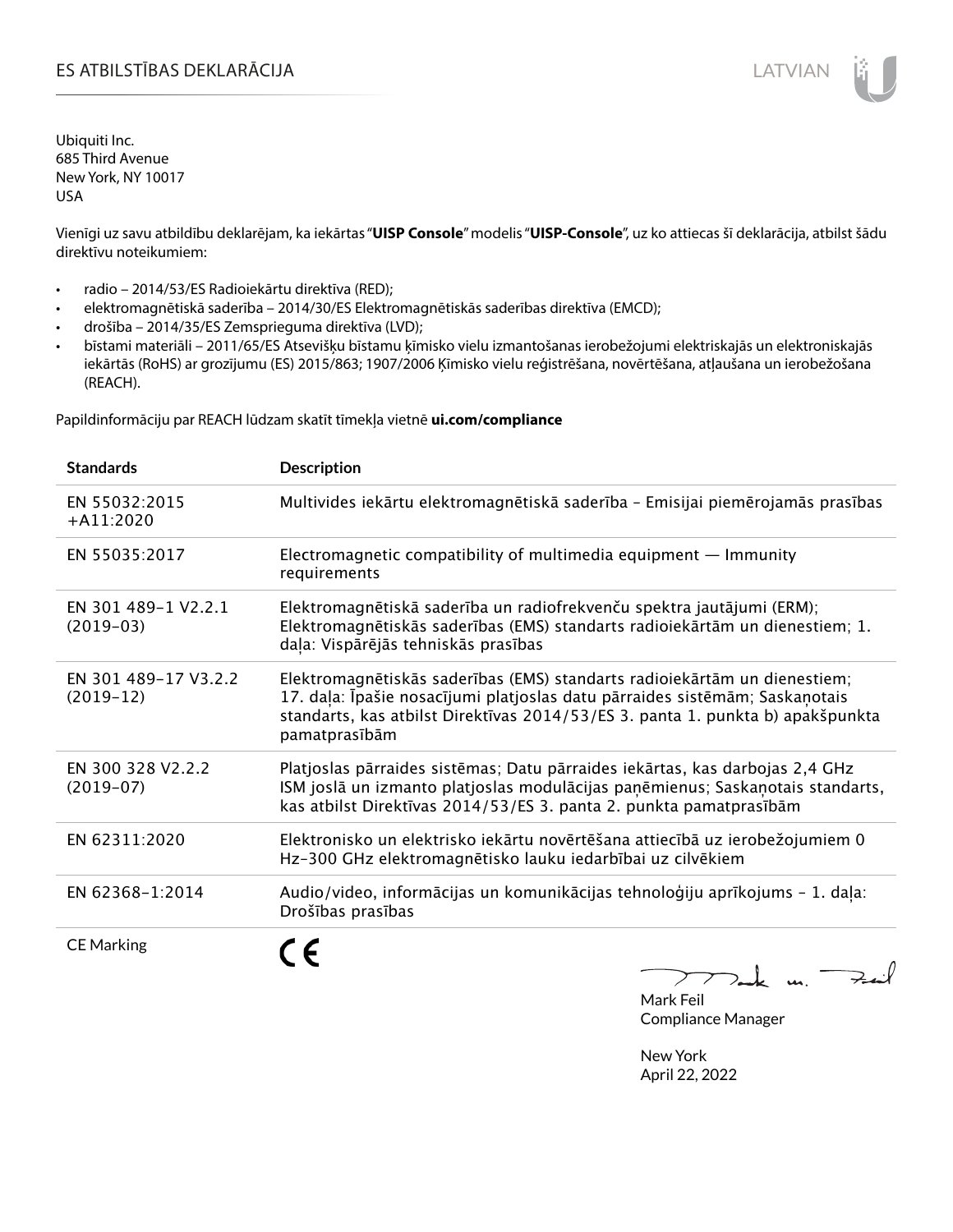# ES ATBILSTĪBAS DEKLARĀCIJA LATVIAN

Ubiquiti Inc. 685 Third Avenue New York, NY 10017 USA

Vienīgi uz savu atbildību deklarējam, ka iekārtas "**UISP Console**" modelis "**UISP-Console**", uz ko attiecas šī deklarācija, atbilst šādu direktīvu noteikumiem:

- radio 2014/53/ES Radioiekārtu direktīva (RED);
- elektromagnētiskā saderība 2014/30/ES Elektromagnētiskās saderības direktīva (EMCD);
- drošība 2014/35/ES Zemsprieguma direktīva (LVD);
- bīstami materiāli 2011/65/ES Atsevišķu bīstamu ķīmisko vielu izmantošanas ierobežojumi elektriskajās un elektroniskajās iekārtās (RoHS) ar grozījumu (ES) 2015/863; 1907/2006 Ķīmisko vielu reģistrēšana, novērtēšana, atļaušana un ierobežošana (REACH).

Papildinformāciju par REACH lūdzam skatīt tīmekļa vietnē **ui.com/compliance**

| <b>Standards</b>                    | <b>Description</b>                                                                                                                                                                                                                                          |
|-------------------------------------|-------------------------------------------------------------------------------------------------------------------------------------------------------------------------------------------------------------------------------------------------------------|
| EN 55032:2015<br>$+$ A11:2020       | Multivides iekārtu elektromagnētiskā saderība - Emisijai piemērojamās prasības                                                                                                                                                                              |
| EN 55035:2017                       | Electromagnetic compatibility of multimedia equipment $-$ Immunity<br>requirements                                                                                                                                                                          |
| EN 301 489-1 V2.2.1<br>$(2019-03)$  | Elektromagnētiskā saderība un radiofrekvenču spektra jautājumi (ERM);<br>Elektromagnētiskās saderības (EMS) standarts radioiekārtām un dienestiem; 1.<br>daļa: Vispārējās tehniskās prasības                                                                |
| EN 301 489-17 V3.2.2<br>$(2019-12)$ | Elektromagnētiskās saderības (EMS) standarts radioiekārtām un dienestiem;<br>17. daļa: Īpašie nosacījumi platjoslas datu pārraides sistēmām; Saskaņotais<br>standarts, kas atbilst Direktīvas 2014/53/ES 3. panta 1. punkta b) apakšpunkta<br>pamatprasībām |
| EN 300 328 V2.2.2<br>$(2019-07)$    | Platjoslas pārraides sistēmas; Datu pārraides iekārtas, kas darbojas 2,4 GHz<br>ISM joslā un izmanto platjoslas modulācijas paņēmienus; Saskaņotais standarts,<br>kas atbilst Direktīvas 2014/53/ES 3. panta 2. punkta pamatprasībām                        |
| EN 62311:2020                       | Elektronisko un elektrisko iekārtu novērtēšana attiecībā uz ierobežojumiem 0<br>Hz-300 GHz elektromagnētisko lauku iedarbībai uz cilvēkiem                                                                                                                  |
| EN 62368-1:2014                     | Audio/video, informācijas un komunikācijas tehnoloģiju aprīkojums - 1. daļa:<br>Drošības prasības                                                                                                                                                           |
| <b>CE Marking</b>                   | n                                                                                                                                                                                                                                                           |

 $772$ ak m.  $\Rightarrow$ int

Mark Feil Compliance Manager